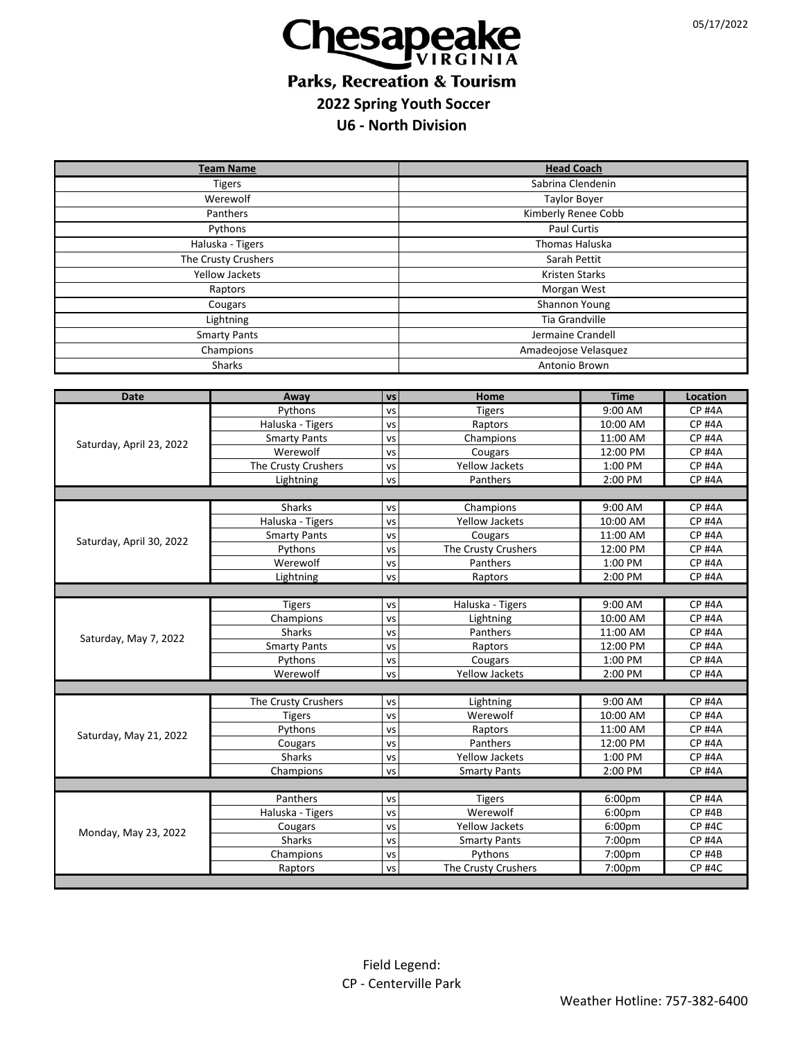

## **Parks, Recreation & Tourism 2022 Spring Youth Soccer**

## **U6 - North Division**

| <b>Team Name</b>         |                     |           | <b>Head Coach</b>     |                     |                                |  |
|--------------------------|---------------------|-----------|-----------------------|---------------------|--------------------------------|--|
| <b>Tigers</b>            |                     |           | Sabrina Clendenin     |                     |                                |  |
| Werewolf                 |                     |           | <b>Taylor Boyer</b>   |                     |                                |  |
| Panthers                 |                     |           | Kimberly Renee Cobb   |                     |                                |  |
| Pythons                  |                     |           | <b>Paul Curtis</b>    |                     |                                |  |
| Haluska - Tigers         |                     |           | Thomas Haluska        |                     |                                |  |
| The Crusty Crushers      |                     |           | Sarah Pettit          |                     |                                |  |
| <b>Yellow Jackets</b>    |                     |           | <b>Kristen Starks</b> |                     |                                |  |
|                          |                     |           |                       |                     |                                |  |
| Raptors                  |                     |           | Morgan West           |                     |                                |  |
| Cougars                  |                     |           | Shannon Young         |                     |                                |  |
| Lightning                |                     |           | <b>Tia Grandville</b> |                     |                                |  |
| <b>Smarty Pants</b>      |                     |           | Jermaine Crandell     |                     |                                |  |
| Champions                |                     |           | Amadeojose Velasquez  |                     |                                |  |
| <b>Sharks</b>            |                     |           | Antonio Brown         |                     |                                |  |
|                          |                     |           |                       |                     |                                |  |
| <b>Date</b>              | Away                | <b>VS</b> | Home                  | <b>Time</b>         | Location                       |  |
|                          | Pythons             | VS        | <b>Tigers</b>         | 9:00 AM             | <b>CP #4A</b>                  |  |
|                          | Haluska - Tigers    | <b>VS</b> | Raptors               | 10:00 AM            | <b>CP #4A</b>                  |  |
| Saturday, April 23, 2022 | <b>Smarty Pants</b> | <b>VS</b> | Champions             | 11:00 AM            | <b>CP #4A</b>                  |  |
|                          | Werewolf            | VS        | Cougars               | 12:00 PM            | <b>CP #4A</b>                  |  |
|                          | The Crusty Crushers | VS        | Yellow Jackets        | 1:00 PM             | <b>CP #4A</b>                  |  |
|                          | Lightning           | VS        | Panthers              | 2:00 PM             | <b>CP #4A</b>                  |  |
|                          |                     |           |                       |                     |                                |  |
|                          | <b>Sharks</b>       | VS        | Champions             | 9:00 AM             | <b>CP #4A</b>                  |  |
| Saturday, April 30, 2022 | Haluska - Tigers    | VS        | Yellow Jackets        | 10:00 AM            | <b>CP #4A</b>                  |  |
|                          | <b>Smarty Pants</b> | <b>VS</b> | Cougars               | 11:00 AM            | <b>CP #4A</b>                  |  |
|                          | Pythons             | <b>VS</b> | The Crusty Crushers   | 12:00 PM            | <b>CP #4A</b>                  |  |
|                          | Werewolf            | VS        | Panthers              | 1:00 PM             | <b>CP #4A</b>                  |  |
|                          | Lightning           | VS        | Raptors               | 2:00 PM             | <b>CP #4A</b>                  |  |
|                          |                     |           |                       |                     |                                |  |
| Saturday, May 7, 2022    | <b>Tigers</b>       | VS        | Haluska - Tigers      | 9:00 AM             | <b>CP #4A</b>                  |  |
|                          | Champions           | <b>VS</b> | Lightning             | 10:00 AM            | <b>CP #4A</b>                  |  |
|                          | Sharks              | VS        | Panthers              | 11:00 AM            | <b>CP #4A</b>                  |  |
|                          | <b>Smarty Pants</b> | VS        | Raptors               | 12:00 PM            | <b>CP #4A</b>                  |  |
|                          | Pythons<br>Werewolf | <b>VS</b> | Cougars               | 1:00 PM             | <b>CP #4A</b><br><b>CP #4A</b> |  |
|                          |                     | VS        | Yellow Jackets        | 2:00 PM             |                                |  |
|                          |                     |           |                       |                     | <b>CP #4A</b>                  |  |
| Saturday, May 21, 2022   | The Crusty Crushers | VS<br>VS  | Lightning<br>Werewolf | 9:00 AM<br>10:00 AM | <b>CP #4A</b>                  |  |
|                          | <b>Tigers</b>       | <b>VS</b> |                       | 11:00 AM            | <b>CP #4A</b>                  |  |
|                          | Pythons             | VS        | Raptors<br>Panthers   | 12:00 PM            | <b>CP #4A</b>                  |  |
|                          | Cougars<br>Sharks   |           | <b>Yellow Jackets</b> | 1:00 PM             | <b>CP #4A</b>                  |  |
|                          | Champions           | VS<br>VS  | <b>Smarty Pants</b>   | 2:00 PM             | <b>CP #4A</b>                  |  |
|                          |                     |           |                       |                     |                                |  |
| Monday, May 23, 2022     | Panthers            | VS        | <b>Tigers</b>         | 6:00pm              | <b>CP #4A</b>                  |  |
|                          | Haluska - Tigers    | VS        | Werewolf              | 6:00pm              | <b>CP #4B</b>                  |  |
|                          | Cougars             | vs        | Yellow Jackets        | 6:00pm              | <b>CP #4C</b>                  |  |
|                          | Sharks              | <b>VS</b> | <b>Smarty Pants</b>   | 7:00pm              | <b>CP #4A</b>                  |  |
|                          | Champions           | VS        | Pythons               | 7:00pm              | <b>CP #4B</b>                  |  |
|                          | Raptors             | <b>VS</b> | The Crusty Crushers   | 7:00pm              | <b>CP #4C</b>                  |  |
|                          |                     |           |                       |                     |                                |  |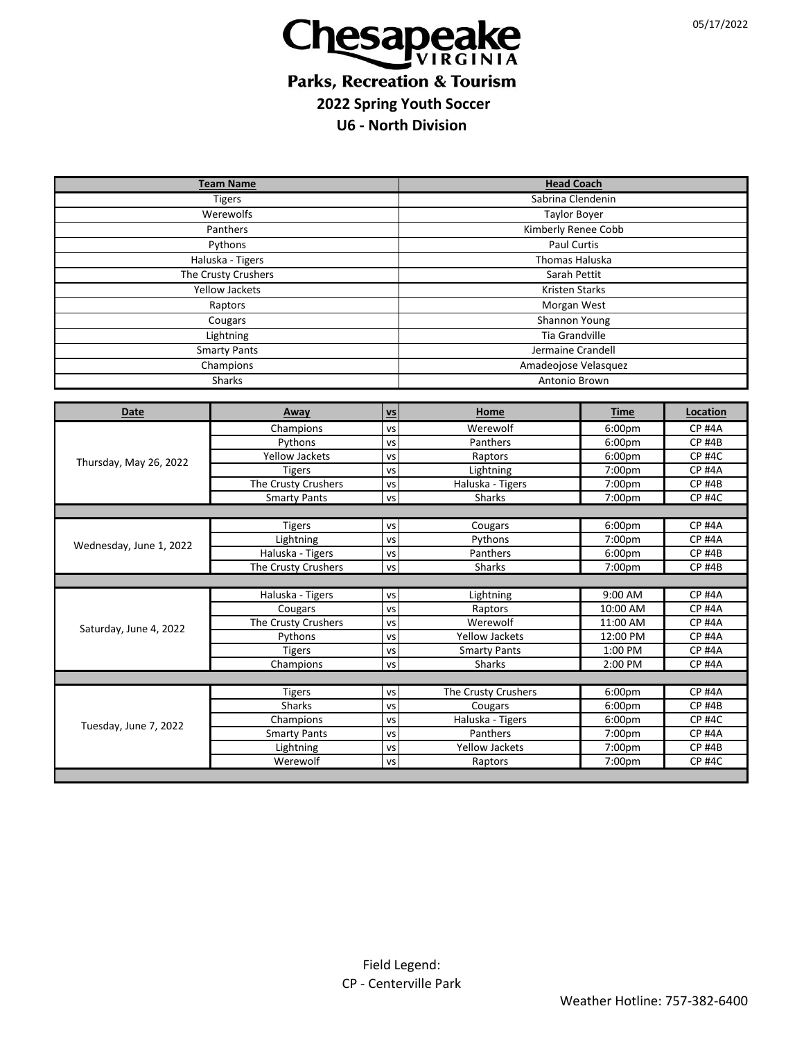

## **Parks, Recreation & Tourism 2022 Spring Youth Soccer**

**U6 - North Division**

| <b>Team Name</b>        |                     |           | <b>Head Coach</b>     |             |               |  |  |  |
|-------------------------|---------------------|-----------|-----------------------|-------------|---------------|--|--|--|
| <b>Tigers</b>           |                     |           | Sabrina Clendenin     |             |               |  |  |  |
| Werewolfs               |                     |           | <b>Taylor Boyer</b>   |             |               |  |  |  |
| Panthers                |                     |           | Kimberly Renee Cobb   |             |               |  |  |  |
| Pythons                 |                     |           | <b>Paul Curtis</b>    |             |               |  |  |  |
| Haluska - Tigers        |                     |           | <b>Thomas Haluska</b> |             |               |  |  |  |
| The Crusty Crushers     |                     |           | Sarah Pettit          |             |               |  |  |  |
| <b>Yellow Jackets</b>   |                     |           | <b>Kristen Starks</b> |             |               |  |  |  |
| Raptors                 |                     |           | Morgan West           |             |               |  |  |  |
| Cougars                 |                     |           | Shannon Young         |             |               |  |  |  |
| Lightning               |                     |           | Tia Grandville        |             |               |  |  |  |
|                         |                     |           | Jermaine Crandell     |             |               |  |  |  |
| <b>Smarty Pants</b>     |                     |           |                       |             |               |  |  |  |
| Champions               |                     |           | Amadeojose Velasquez  |             |               |  |  |  |
| Sharks<br>Antonio Brown |                     |           |                       |             |               |  |  |  |
|                         |                     |           |                       |             |               |  |  |  |
| <b>Date</b>             | Away                | $vs$      | Home                  | <b>Time</b> | Location      |  |  |  |
| Thursday, May 26, 2022  | Champions           | <b>VS</b> | Werewolf              | 6:00pm      | <b>CP #4A</b> |  |  |  |
|                         | Pythons             | <b>VS</b> | Panthers              | 6:00pm      | <b>CP #4B</b> |  |  |  |
|                         | Yellow Jackets      | VS        | Raptors               | 6:00pm      | <b>CP #4C</b> |  |  |  |
|                         | <b>Tigers</b>       | VS        | Lightning             | 7:00pm      | <b>CP #4A</b> |  |  |  |
|                         | The Crusty Crushers | <b>VS</b> | Haluska - Tigers      | 7:00pm      | <b>CP #4B</b> |  |  |  |
|                         | <b>Smarty Pants</b> | VS        | Sharks                | 7:00pm      | <b>CP #4C</b> |  |  |  |
|                         |                     |           |                       |             |               |  |  |  |
| Wednesday, June 1, 2022 | <b>Tigers</b>       | <b>VS</b> | Cougars               | 6:00pm      | $CP$ #4A      |  |  |  |
|                         | Lightning           | VS        | Pythons               | 7:00pm      | <b>CP #4A</b> |  |  |  |
|                         | Haluska - Tigers    | <b>VS</b> | Panthers              | 6:00pm      | <b>CP #4B</b> |  |  |  |
|                         | The Crusty Crushers | <b>VS</b> | <b>Sharks</b>         | 7:00pm      | <b>CP #4B</b> |  |  |  |
|                         |                     |           |                       |             |               |  |  |  |
|                         | Haluska - Tigers    | <b>VS</b> | Lightning             | 9:00 AM     | <b>CP #4A</b> |  |  |  |
| Saturday, June 4, 2022  | Cougars             | <b>VS</b> | Raptors               | 10:00 AM    | <b>CP #4A</b> |  |  |  |
|                         | The Crusty Crushers | <b>VS</b> | Werewolf              | 11:00 AM    | <b>CP #4A</b> |  |  |  |
|                         | Pythons             | <b>VS</b> | <b>Yellow Jackets</b> | 12:00 PM    | <b>CP #4A</b> |  |  |  |
|                         | <b>Tigers</b>       | <b>VS</b> | <b>Smarty Pants</b>   | 1:00 PM     | <b>CP #4A</b> |  |  |  |
|                         | Champions           | <b>VS</b> | Sharks                | 2:00 PM     | <b>CP #4A</b> |  |  |  |
| Tuesday, June 7, 2022   | <b>Tigers</b>       | <b>VS</b> | The Crusty Crushers   | 6:00pm      | <b>CP #4A</b> |  |  |  |
|                         | Sharks              | <b>VS</b> | Cougars               | 6:00pm      | <b>CP #4B</b> |  |  |  |
|                         | Champions           | <b>VS</b> | Haluska - Tigers      | 6:00pm      | <b>CP #4C</b> |  |  |  |
|                         | <b>Smarty Pants</b> | <b>VS</b> | Panthers              | 7:00pm      | <b>CP #4A</b> |  |  |  |
|                         | Lightning           | <b>VS</b> | Yellow Jackets        | 7:00pm      | <b>CP #4B</b> |  |  |  |
|                         | Werewolf            | <b>VS</b> | Raptors               | 7:00pm      | <b>CP #4C</b> |  |  |  |
|                         |                     |           |                       |             |               |  |  |  |